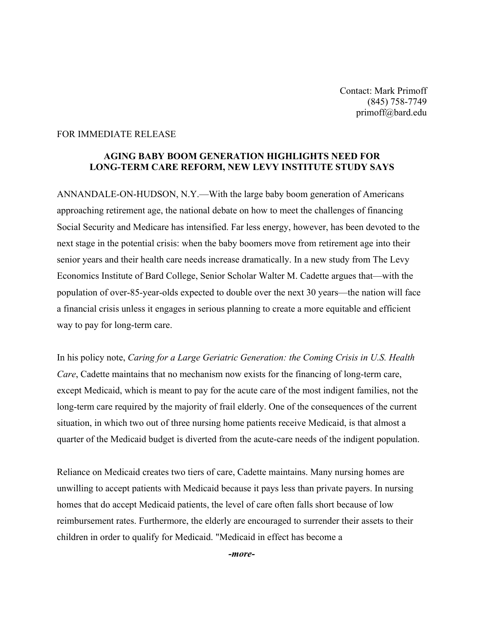## FOR IMMEDIATE RELEASE

## **AGING BABY BOOM GENERATION HIGHLIGHTS NEED FOR LONG-TERM CARE REFORM, NEW LEVY INSTITUTE STUDY SAYS**

ANNANDALE-ON-HUDSON, N.Y.—With the large baby boom generation of Americans approaching retirement age, the national debate on how to meet the challenges of financing Social Security and Medicare has intensified. Far less energy, however, has been devoted to the next stage in the potential crisis: when the baby boomers move from retirement age into their senior years and their health care needs increase dramatically. In a new study from The Levy Economics Institute of Bard College, Senior Scholar Walter M. Cadette argues that—with the population of over-85-year-olds expected to double over the next 30 years—the nation will face a financial crisis unless it engages in serious planning to create a more equitable and efficient way to pay for long-term care.

In his policy note, *Caring for a Large Geriatric Generation: the Coming Crisis in U.S. Health Care*, Cadette maintains that no mechanism now exists for the financing of long-term care, except Medicaid, which is meant to pay for the acute care of the most indigent families, not the long-term care required by the majority of frail elderly. One of the consequences of the current situation, in which two out of three nursing home patients receive Medicaid, is that almost a quarter of the Medicaid budget is diverted from the acute-care needs of the indigent population.

Reliance on Medicaid creates two tiers of care, Cadette maintains. Many nursing homes are unwilling to accept patients with Medicaid because it pays less than private payers. In nursing homes that do accept Medicaid patients, the level of care often falls short because of low reimbursement rates. Furthermore, the elderly are encouraged to surrender their assets to their children in order to qualify for Medicaid. "Medicaid in effect has become a

*-more-*